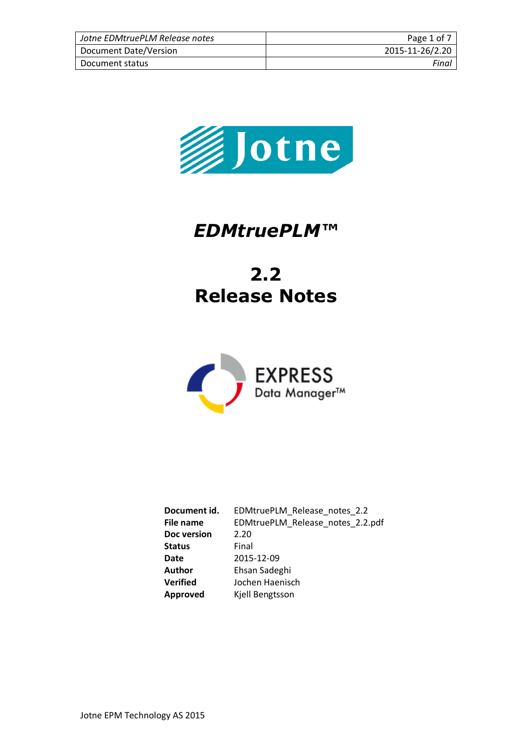| Jotne EDMtruePLM Release notes | Page 1 of 7     |
|--------------------------------|-----------------|
| Document Date/Version          | 2015-11-26/2.20 |
| Document status                | Final           |



# *EDMtruePLM™*

# **2.2 Release Notes**



**Document id.** EDMtruePLM\_Release\_notes\_2.2 **File name** EDMtruePLM\_Release\_notes\_2.2.pdf **Doc version** 2.20 **Status** Final **Date** 2015-12-09 **Author** Ehsan Sadeghi **Verified** Jochen Haenisch<br> **Approved** Kjell Bengtsson **Approved** Kjell Bengtsson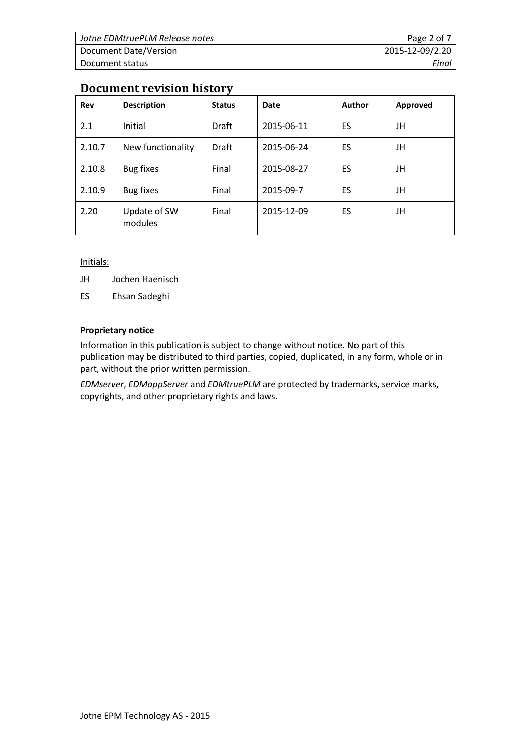| Jotne EDMtruePLM Release notes | Page 2 of 7     |
|--------------------------------|-----------------|
| Document Date/Version          | 2015-12-09/2.20 |
| Document status                | Final           |

## **Document revision history**

| Rev    | <b>Description</b>      | <b>Status</b> | Date       | Author | Approved |
|--------|-------------------------|---------------|------------|--------|----------|
| 2.1    | Initial                 | Draft         | 2015-06-11 | ES     | JH       |
| 2.10.7 | New functionality       | <b>Draft</b>  | 2015-06-24 | ES     | JH       |
| 2.10.8 | Bug fixes               | Final         | 2015-08-27 | ES     | JH       |
| 2.10.9 | Bug fixes               | Final         | 2015-09-7  | ES     | JH       |
| 2.20   | Update of SW<br>modules | Final         | 2015-12-09 | ES     | JH       |

Initials:

JH Jochen Haenisch

ES Ehsan Sadeghi

#### **Proprietary notice**

Information in this publication is subject to change without notice. No part of this publication may be distributed to third parties, copied, duplicated, in any form, whole or in part, without the prior written permission.

*EDMserver*, *EDMappServer* and *EDMtruePLM* are protected by trademarks, service marks, copyrights, and other proprietary rights and laws.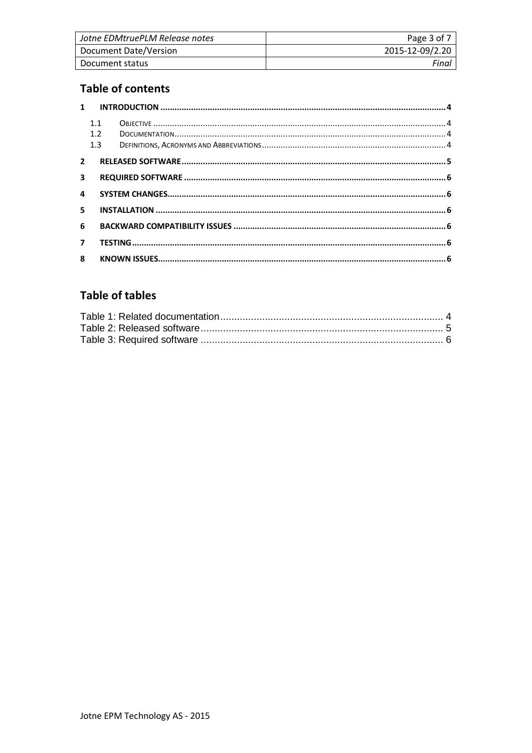| Jotne EDMtruePLM Release notes | Page 3 of 7     |
|--------------------------------|-----------------|
| Document Date/Version          | 2015-12-09/2.20 |
| Document status                | Final           |

# **Table of contents**

|                         | 1.1<br>1.2<br>1.3 |  |
|-------------------------|-------------------|--|
| $2^{\circ}$             |                   |  |
| $\overline{\mathbf{3}}$ |                   |  |
| 4                       |                   |  |
| 5                       |                   |  |
| 6                       |                   |  |
| $\mathbf{7}$            |                   |  |
| 8                       |                   |  |

## **Table of tables**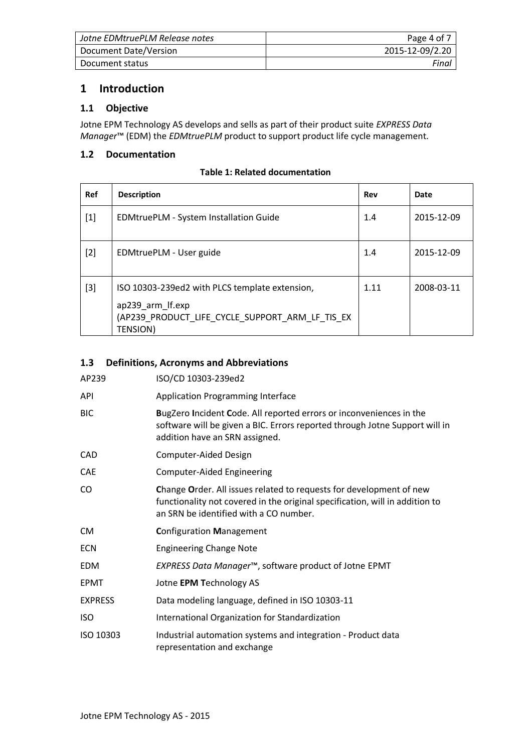| Jotne EDMtruePLM Release notes | Page 4 of 7     |
|--------------------------------|-----------------|
| Document Date/Version          | 2015-12-09/2.20 |
| Document status                | Final           |

### <span id="page-3-0"></span>**1 Introduction**

#### <span id="page-3-1"></span>**1.1 Objective**

Jotne EPM Technology AS develops and sells as part of their product suite *EXPRESS Data Manager*™ (EDM) the *EDMtruePLM* product to support product life cycle management.

#### <span id="page-3-4"></span><span id="page-3-2"></span>**1.2 Documentation**

| <b>Table 1: Related documentation</b> |
|---------------------------------------|
|---------------------------------------|

| Ref   | <b>Description</b>                                                                                                                       | Rev  | Date       |
|-------|------------------------------------------------------------------------------------------------------------------------------------------|------|------------|
| $[1]$ | EDMtruePLM - System Installation Guide                                                                                                   | 1.4  | 2015-12-09 |
| $[2]$ | EDMtruePLM - User guide                                                                                                                  | 1.4  | 2015-12-09 |
| $[3]$ | ISO 10303-239ed2 with PLCS template extension,<br>ap239_arm_lf.exp<br>(AP239 PRODUCT LIFE CYCLE SUPPORT ARM LF TIS EX<br><b>TENSION)</b> | 1.11 | 2008-03-11 |

#### <span id="page-3-3"></span>**1.3 Definitions, Acronyms and Abbreviations**

| AP239          | ISO/CD 10303-239ed2                                                                                                                                                                           |
|----------------|-----------------------------------------------------------------------------------------------------------------------------------------------------------------------------------------------|
| <b>API</b>     | <b>Application Programming Interface</b>                                                                                                                                                      |
| <b>BIC</b>     | BugZero Incident Code. All reported errors or inconveniences in the<br>software will be given a BIC. Errors reported through Jotne Support will in<br>addition have an SRN assigned.          |
| <b>CAD</b>     | Computer-Aided Design                                                                                                                                                                         |
| <b>CAE</b>     | <b>Computer-Aided Engineering</b>                                                                                                                                                             |
| CO.            | Change Order. All issues related to requests for development of new<br>functionality not covered in the original specification, will in addition to<br>an SRN be identified with a CO number. |
| <b>CM</b>      | <b>Configuration Management</b>                                                                                                                                                               |
| <b>ECN</b>     | <b>Engineering Change Note</b>                                                                                                                                                                |
| <b>EDM</b>     | EXPRESS Data Manager <sup>™</sup> , software product of Jotne EPMT                                                                                                                            |
| EPMT           | Jotne EPM Technology AS                                                                                                                                                                       |
| <b>EXPRESS</b> | Data modeling language, defined in ISO 10303-11                                                                                                                                               |
| <b>ISO</b>     | International Organization for Standardization                                                                                                                                                |
| ISO 10303      | Industrial automation systems and integration - Product data<br>representation and exchange                                                                                                   |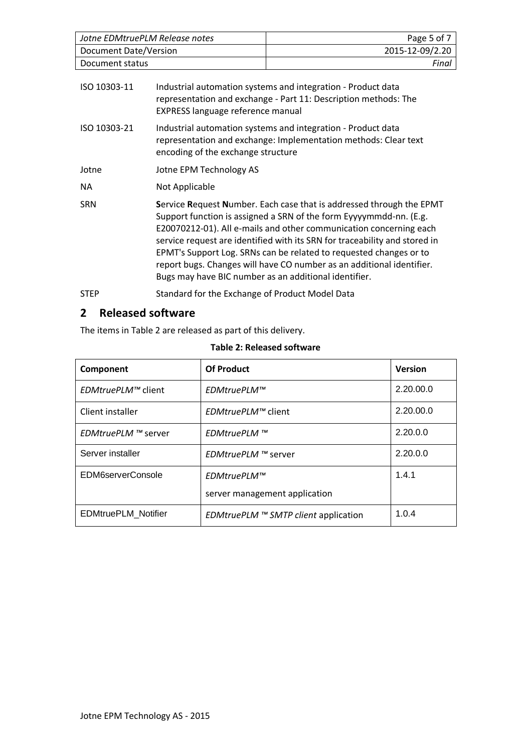| Jotne EDMtruePLM Release notes | Page 5 of 7     |
|--------------------------------|-----------------|
| Document Date/Version          | 2015-12-09/2.20 |
| Document status                | Final           |
|                                |                 |

| ISO 10303-11 | Industrial automation systems and integration - Product data<br>representation and exchange - Part 11: Description methods: The<br>EXPRESS language reference manual                                                                                                                                                                                                                                                                                                                                   |
|--------------|--------------------------------------------------------------------------------------------------------------------------------------------------------------------------------------------------------------------------------------------------------------------------------------------------------------------------------------------------------------------------------------------------------------------------------------------------------------------------------------------------------|
| ISO 10303-21 | Industrial automation systems and integration - Product data<br>representation and exchange: Implementation methods: Clear text<br>encoding of the exchange structure                                                                                                                                                                                                                                                                                                                                  |
| Jotne        | Jotne EPM Technology AS                                                                                                                                                                                                                                                                                                                                                                                                                                                                                |
| NA.          | Not Applicable                                                                                                                                                                                                                                                                                                                                                                                                                                                                                         |
| <b>SRN</b>   | Service Request Number. Each case that is addressed through the EPMT<br>Support function is assigned a SRN of the form Eyyyymmdd-nn. (E.g.<br>E20070212-01). All e-mails and other communication concerning each<br>service request are identified with its SRN for traceability and stored in<br>EPMT's Support Log. SRNs can be related to requested changes or to<br>report bugs. Changes will have CO number as an additional identifier.<br>Bugs may have BIC number as an additional identifier. |
| <b>STEP</b>  | Standard for the Exchange of Product Model Data                                                                                                                                                                                                                                                                                                                                                                                                                                                        |

## <span id="page-4-0"></span>**2 Released software**

The items in [Table 2](#page-4-1) are released as part of this delivery.

#### **Table 2: Released software**

<span id="page-4-1"></span>

| Component                  | <b>Of Product</b>                           | <b>Version</b> |
|----------------------------|---------------------------------------------|----------------|
| <i>EDMtruePLM™</i> client  | EDMtruePLM™                                 | 2.20.00.0      |
| Client installer           | <i>EDMtruePLM™</i> client                   | 2.20.00.0      |
| <i>EDMtruePLM</i> ™ server | EDMtruePLM ™                                | 2.20.0.0       |
| Server installer           | <i>EDMtruePLM</i> ™ server                  | 2.20.0.0       |
| EDM6serverConsole          | EDMtruePLM™                                 | 1.4.1          |
|                            | server management application               |                |
| <b>EDMtruePLM Notifier</b> | <i>EDMtruePLM</i> ™ SMTP client application | 1.0.4          |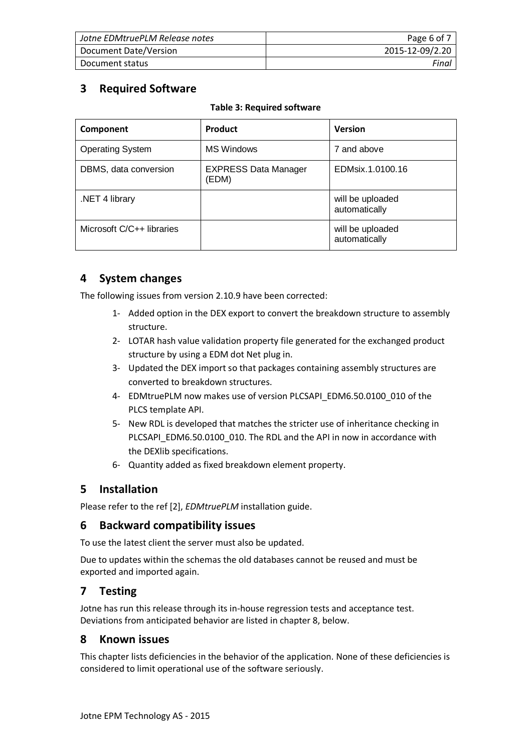| Jotne EDMtruePLM Release notes | Page 6 of 7     |
|--------------------------------|-----------------|
| Document Date/Version          | 2015-12-09/2.20 |
| Document status                | Final           |

## <span id="page-5-6"></span><span id="page-5-0"></span>**3 Required Software**

| Component                 | Product                              | <b>Version</b>                    |
|---------------------------|--------------------------------------|-----------------------------------|
| <b>Operating System</b>   | <b>MS Windows</b>                    | 7 and above                       |
| DBMS, data conversion     | <b>EXPRESS Data Manager</b><br>(EDM) | EDMsix.1.0100.16                  |
| NET 4 library             |                                      | will be uploaded<br>automatically |
| Microsoft C/C++ libraries |                                      | will be uploaded<br>automatically |

## <span id="page-5-1"></span>**4 System changes**

The following issues from version 2.10.9 have been corrected:

- 1- Added option in the DEX export to convert the breakdown structure to assembly structure.
- 2- LOTAR hash value validation property file generated for the exchanged product structure by using a EDM dot Net plug in.
- 3- Updated the DEX import so that packages containing assembly structures are converted to breakdown structures.
- 4- EDMtruePLM now makes use of version PLCSAPI\_EDM6.50.0100\_010 of the PLCS template API.
- 5- New RDL is developed that matches the stricter use of inheritance checking in PLCSAPI\_EDM6.50.0100\_010. The RDL and the API in now in accordance with the DEXlib specifications.
- 6- Quantity added as fixed breakdown element property.

## <span id="page-5-2"></span>**5 Installation**

Please refer to the ref [2], *EDMtruePLM* installation guide.

## <span id="page-5-3"></span>**6 Backward compatibility issues**

To use the latest client the server must also be updated.

Due to updates within the schemas the old databases cannot be reused and must be exported and imported again.

## <span id="page-5-4"></span>**7 Testing**

Jotne has run this release through its in-house regression tests and acceptance test. Deviations from anticipated behavior are listed in chapter [8,](#page-5-5) below.

### <span id="page-5-5"></span>**8 Known issues**

This chapter lists deficiencies in the behavior of the application. None of these deficiencies is considered to limit operational use of the software seriously.